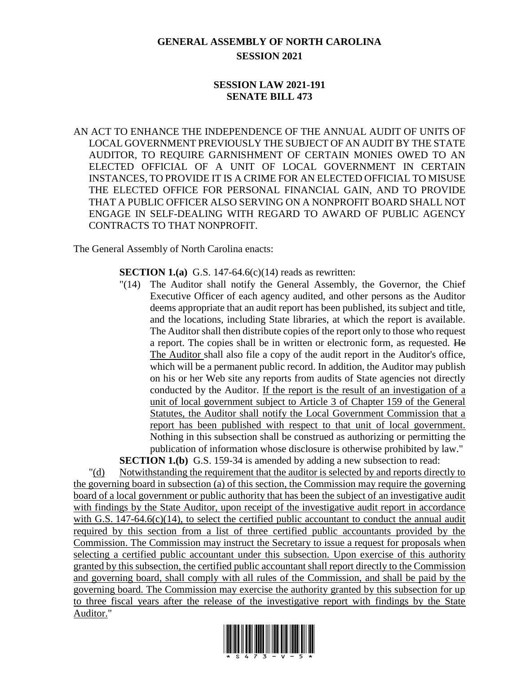# **GENERAL ASSEMBLY OF NORTH CAROLINA SESSION 2021**

# **SESSION LAW 2021-191 SENATE BILL 473**

AN ACT TO ENHANCE THE INDEPENDENCE OF THE ANNUAL AUDIT OF UNITS OF LOCAL GOVERNMENT PREVIOUSLY THE SUBJECT OF AN AUDIT BY THE STATE AUDITOR, TO REQUIRE GARNISHMENT OF CERTAIN MONIES OWED TO AN ELECTED OFFICIAL OF A UNIT OF LOCAL GOVERNMENT IN CERTAIN INSTANCES, TO PROVIDE IT IS A CRIME FOR AN ELECTED OFFICIAL TO MISUSE THE ELECTED OFFICE FOR PERSONAL FINANCIAL GAIN, AND TO PROVIDE THAT A PUBLIC OFFICER ALSO SERVING ON A NONPROFIT BOARD SHALL NOT ENGAGE IN SELF-DEALING WITH REGARD TO AWARD OF PUBLIC AGENCY CONTRACTS TO THAT NONPROFIT.

The General Assembly of North Carolina enacts:

**SECTION 1.(a)** G.S. 147-64.6(c)(14) reads as rewritten:

"(14) The Auditor shall notify the General Assembly, the Governor, the Chief Executive Officer of each agency audited, and other persons as the Auditor deems appropriate that an audit report has been published, its subject and title, and the locations, including State libraries, at which the report is available. The Auditor shall then distribute copies of the report only to those who request a report. The copies shall be in written or electronic form, as requested. He The Auditor shall also file a copy of the audit report in the Auditor's office, which will be a permanent public record. In addition, the Auditor may publish on his or her Web site any reports from audits of State agencies not directly conducted by the Auditor. If the report is the result of an investigation of a unit of local government subject to Article 3 of Chapter 159 of the General Statutes, the Auditor shall notify the Local Government Commission that a report has been published with respect to that unit of local government. Nothing in this subsection shall be construed as authorizing or permitting the publication of information whose disclosure is otherwise prohibited by law."

**SECTION 1.(b)** G.S. 159-34 is amended by adding a new subsection to read: "(d) Notwithstanding the requirement that the auditor is selected by and reports directly to the governing board in subsection (a) of this section, the Commission may require the governing board of a local government or public authority that has been the subject of an investigative audit with findings by the State Auditor, upon receipt of the investigative audit report in accordance with G.S. 147-64.6(c)(14), to select the certified public accountant to conduct the annual audit required by this section from a list of three certified public accountants provided by the Commission. The Commission may instruct the Secretary to issue a request for proposals when selecting a certified public accountant under this subsection. Upon exercise of this authority granted by this subsection, the certified public accountant shall report directly to the Commission and governing board, shall comply with all rules of the Commission, and shall be paid by the governing board. The Commission may exercise the authority granted by this subsection for up to three fiscal years after the release of the investigative report with findings by the State Auditor."

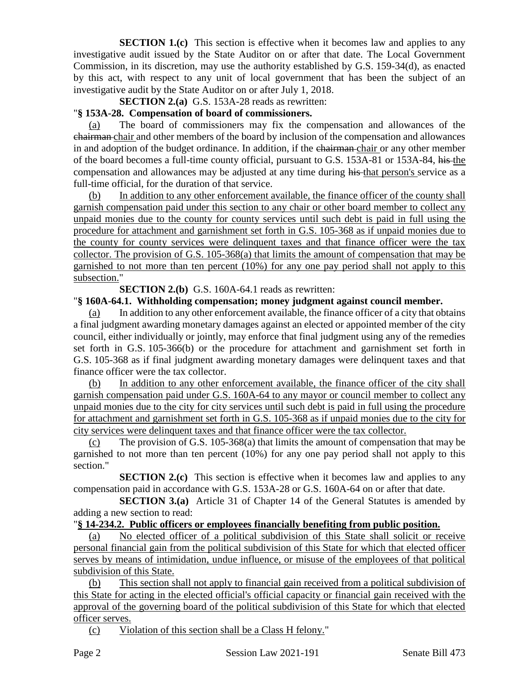**SECTION 1.(c)** This section is effective when it becomes law and applies to any investigative audit issued by the State Auditor on or after that date. The Local Government Commission, in its discretion, may use the authority established by G.S. 159-34(d), as enacted by this act, with respect to any unit of local government that has been the subject of an investigative audit by the State Auditor on or after July 1, 2018.

**SECTION 2.(a)** G.S. 153A-28 reads as rewritten:

# "**§ 153A-28. Compensation of board of commissioners.**

(a) The board of commissioners may fix the compensation and allowances of the chairman chair and other members of the board by inclusion of the compensation and allowances in and adoption of the budget ordinance. In addition, if the chairman-chair or any other member of the board becomes a full-time county official, pursuant to G.S. 153A-81 or 153A-84, his the compensation and allowances may be adjusted at any time during his that person's service as a full-time official, for the duration of that service.

(b) In addition to any other enforcement available, the finance officer of the county shall garnish compensation paid under this section to any chair or other board member to collect any unpaid monies due to the county for county services until such debt is paid in full using the procedure for attachment and garnishment set forth in G.S. 105-368 as if unpaid monies due to the county for county services were delinquent taxes and that finance officer were the tax collector. The provision of G.S. 105-368(a) that limits the amount of compensation that may be garnished to not more than ten percent (10%) for any one pay period shall not apply to this subsection."

**SECTION 2.(b)** G.S. 160A-64.1 reads as rewritten:

#### "**§ 160A-64.1. Withholding compensation; money judgment against council member.**

(a) In addition to any other enforcement available, the finance officer of a city that obtains a final judgment awarding monetary damages against an elected or appointed member of the city council, either individually or jointly, may enforce that final judgment using any of the remedies set forth in G.S. 105-366(b) or the procedure for attachment and garnishment set forth in G.S. 105-368 as if final judgment awarding monetary damages were delinquent taxes and that finance officer were the tax collector.

(b) In addition to any other enforcement available, the finance officer of the city shall garnish compensation paid under G.S. 160A-64 to any mayor or council member to collect any unpaid monies due to the city for city services until such debt is paid in full using the procedure for attachment and garnishment set forth in G.S. 105-368 as if unpaid monies due to the city for city services were delinquent taxes and that finance officer were the tax collector.

The provision of G.S.  $105-368(a)$  that limits the amount of compensation that may be garnished to not more than ten percent (10%) for any one pay period shall not apply to this section."

**SECTION 2.(c)** This section is effective when it becomes law and applies to any compensation paid in accordance with G.S. 153A-28 or G.S. 160A-64 on or after that date.

**SECTION 3.(a)** Article 31 of Chapter 14 of the General Statutes is amended by adding a new section to read:

# "**§ 14-234.2. Public officers or employees financially benefiting from public position.**

(a) No elected officer of a political subdivision of this State shall solicit or receive personal financial gain from the political subdivision of this State for which that elected officer serves by means of intimidation, undue influence, or misuse of the employees of that political subdivision of this State.

(b) This section shall not apply to financial gain received from a political subdivision of this State for acting in the elected official's official capacity or financial gain received with the approval of the governing board of the political subdivision of this State for which that elected officer serves.

(c) Violation of this section shall be a Class H felony."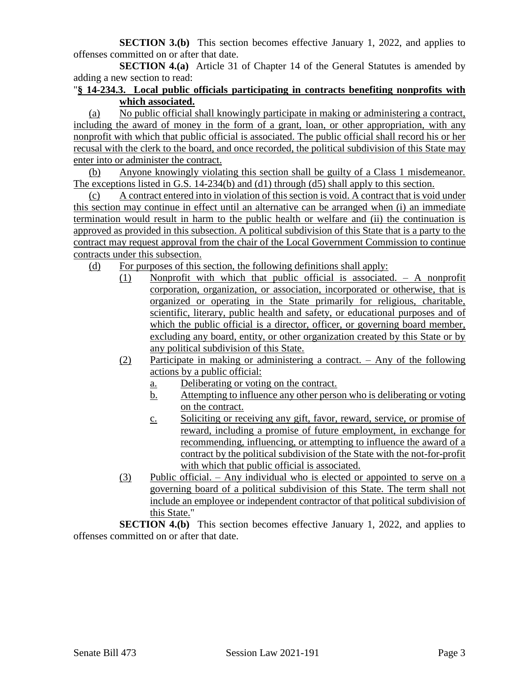**SECTION 3.(b)** This section becomes effective January 1, 2022, and applies to offenses committed on or after that date.

**SECTION 4.(a)** Article 31 of Chapter 14 of the General Statutes is amended by adding a new section to read:

# "**§ 14-234.3. Local public officials participating in contracts benefiting nonprofits with which associated.**

(a) No public official shall knowingly participate in making or administering a contract, including the award of money in the form of a grant, loan, or other appropriation, with any nonprofit with which that public official is associated. The public official shall record his or her recusal with the clerk to the board, and once recorded, the political subdivision of this State may enter into or administer the contract.

(b) Anyone knowingly violating this section shall be guilty of a Class 1 misdemeanor. The exceptions listed in G.S. 14-234(b) and (d1) through (d5) shall apply to this section.

(c) A contract entered into in violation of this section is void. A contract that is void under this section may continue in effect until an alternative can be arranged when (i) an immediate termination would result in harm to the public health or welfare and (ii) the continuation is approved as provided in this subsection. A political subdivision of this State that is a party to the contract may request approval from the chair of the Local Government Commission to continue contracts under this subsection.

(d) For purposes of this section, the following definitions shall apply:

- (1) Nonprofit with which that public official is associated. A nonprofit corporation, organization, or association, incorporated or otherwise, that is organized or operating in the State primarily for religious, charitable, scientific, literary, public health and safety, or educational purposes and of which the public official is a director, officer, or governing board member, excluding any board, entity, or other organization created by this State or by any political subdivision of this State.
- (2) Participate in making or administering a contract. Any of the following actions by a public official:
	- a. Deliberating or voting on the contract.
	- b. Attempting to influence any other person who is deliberating or voting on the contract.
	- c. Soliciting or receiving any gift, favor, reward, service, or promise of reward, including a promise of future employment, in exchange for recommending, influencing, or attempting to influence the award of a contract by the political subdivision of the State with the not-for-profit with which that public official is associated.
- (3) Public official. Any individual who is elected or appointed to serve on a governing board of a political subdivision of this State. The term shall not include an employee or independent contractor of that political subdivision of this State."

**SECTION 4.(b)** This section becomes effective January 1, 2022, and applies to offenses committed on or after that date.